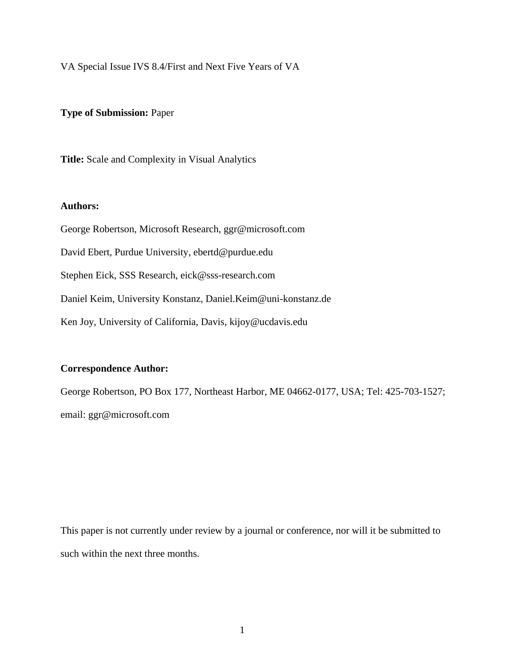VA Special Issue IVS 8.4/First and Next Five Years of VA

#### **Type of Submission:** Paper

**Title:** Scale and Complexity in Visual Analytics

#### **Authors:**

George Robertson, Microsoft Research, ggr@microsoft.com David Ebert, Purdue University, ebertd@purdue.edu Stephen Eick, SSS Research, eick@sss-research.com Daniel Keim, University Konstanz, Daniel.Keim@uni-konstanz.de Ken Joy, University of California, Davis, kijoy@ucdavis.edu

#### **Correspondence Author:**

George Robertson, PO Box 177, Northeast Harbor, ME 04662-0177, USA; Tel: 425-703-1527; email: ggr@microsoft.com

This paper is not currently under review by a journal or conference, nor will it be submitted to such within the next three months.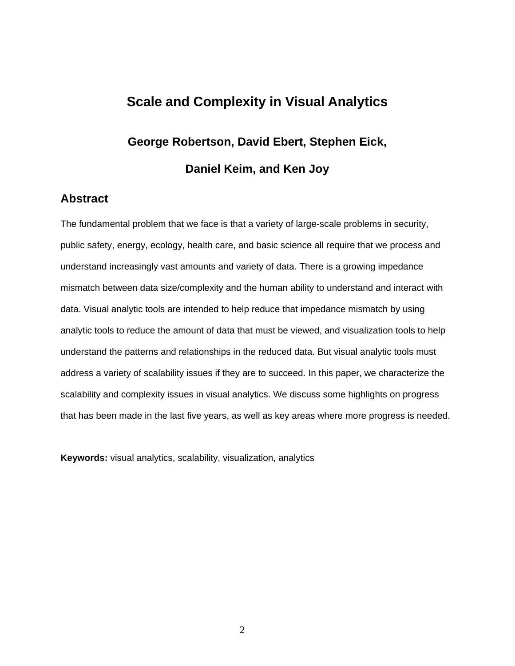# **Scale and Complexity in Visual Analytics**

# **George Robertson, David Ebert, Stephen Eick, Daniel Keim, and Ken Joy**

# **Abstract**

The fundamental problem that we face is that a variety of large-scale problems in security, public safety, energy, ecology, health care, and basic science all require that we process and understand increasingly vast amounts and variety of data. There is a growing impedance mismatch between data size/complexity and the human ability to understand and interact with data. Visual analytic tools are intended to help reduce that impedance mismatch by using analytic tools to reduce the amount of data that must be viewed, and visualization tools to help understand the patterns and relationships in the reduced data. But visual analytic tools must address a variety of scalability issues if they are to succeed. In this paper, we characterize the scalability and complexity issues in visual analytics. We discuss some highlights on progress that has been made in the last five years, as well as key areas where more progress is needed.

**Keywords:** visual analytics, scalability, visualization, analytics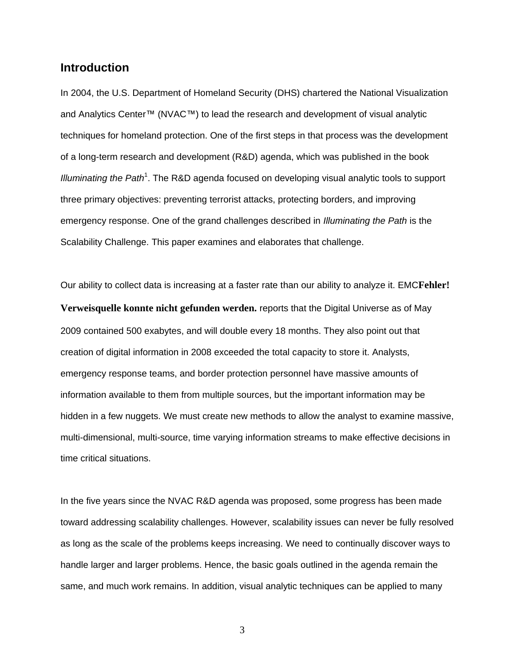## **Introduction**

In 2004, the U.S. Department of Homeland Security (DHS) chartered the National Visualization and Analytics Center™ (NVAC™) to lead the research and development of visual analytic techniques for homeland protection. One of the first steps in that process was the development of a long-term research and development (R&D) agenda, which was published in the book Illuminating t[h](#page-18-0)e Path<sup>1</sup>. The R&D agenda focused on developing visual analytic tools to support three primary objectives: preventing terrorist attacks, protecting borders, and improving emergency response. One of the grand challenges described in *Illuminating the Path* is the Scalability Challenge. This paper examines and elaborates that challenge.

Our ability to collect data is increasing at a faster rate than our ability to analyze it. EMC**Fehler! Verweisquelle konnte nicht gefunden werden.** reports that the Digital Universe as of May 2009 contained 500 exabytes, and will double every 18 months. They also point out that creation of digital information in 2008 exceeded the total capacity to store it. Analysts, emergency response teams, and border protection personnel have massive amounts of information available to them from multiple sources, but the important information may be hidden in a few nuggets. We must create new methods to allow the analyst to examine massive, multi-dimensional, multi-source, time varying information streams to make effective decisions in time critical situations.

In the five years since the NVAC R&D agenda was proposed, some progress has been made toward addressing scalability challenges. However, scalability issues can never be fully resolved as long as the scale of the problems keeps increasing. We need to continually discover ways to handle larger and larger problems. Hence, the basic goals outlined in the agenda remain the same, and much work remains. In addition, visual analytic techniques can be applied to many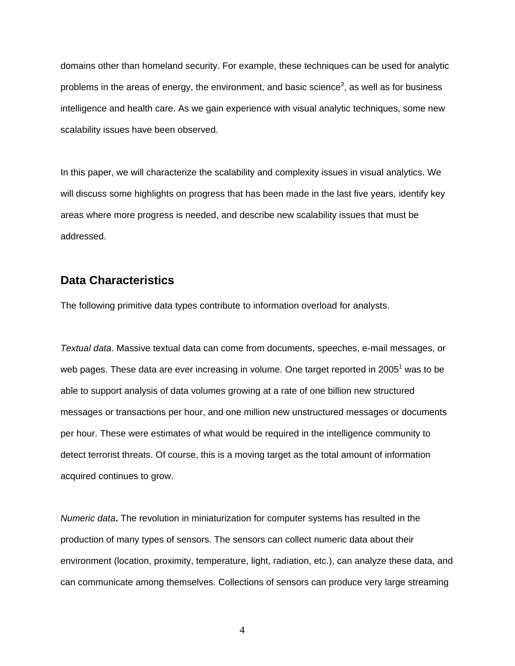domains other than homeland security. For example, these techniques can be used for analytic problems in the areas of energy, the environment, and basic science<sup>[3](#page-19-0)</sup>, as well as for business intelligence and health care. As we gain experience with visual analytic techniques, some new scalability issues have been observed.

In this paper, we will characterize the scalability and complexity issues in visual analytics. We will discuss some highlights on progress that has been made in the last five years, identify key areas where more progress is needed, and describe new scalability issues that must be addressed.

#### **Data Characteristics**

The following primitive data types contribute to information overload for analysts.

*Textual data*. Massive textual data can come from documents, speeches, e-mail messages, or web pages. These data are ever increasing in volume. One target reported in 2005<sup>[1](#page-18-0)</sup> was to be able to support analysis of data volumes growing at a rate of one billion new structured messages or transactions per hour, and one million new unstructured messages or documents per hour. These were estimates of what would be required in the intelligence community to detect terrorist threats. Of course, this is a moving target as the total amount of information acquired continues to grow.

*Numeric data***.** The revolution in miniaturization for computer systems has resulted in the production of many types of sensors. The sensors can collect numeric data about their environment (location, proximity, temperature, light, radiation, etc.), can analyze these data, and can communicate among themselves. Collections of sensors can produce very large streaming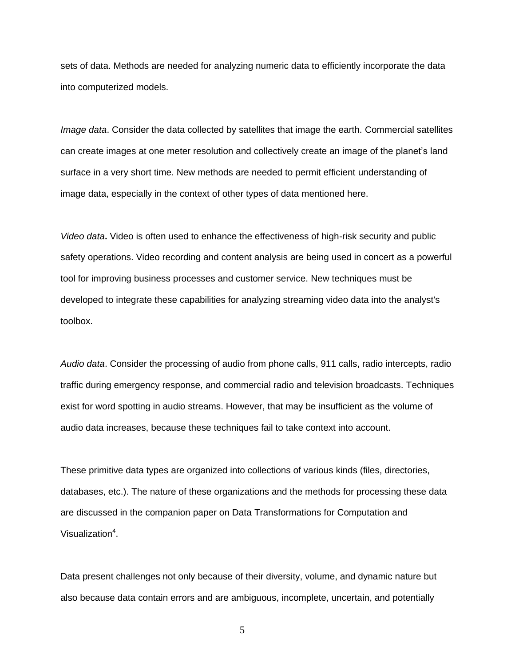sets of data. Methods are needed for analyzing numeric data to efficiently incorporate the data into computerized models.

*Image data*. Consider the data collected by satellites that image the earth. Commercial satellites can create images at one meter resolution and collectively create an image of the planet's land surface in a very short time. New methods are needed to permit efficient understanding of image data, especially in the context of other types of data mentioned here.

*Video data***.** Video is often used to enhance the effectiveness of high-risk security and public safety operations. Video recording and content analysis are being used in concert as a powerful tool for improving business processes and customer service. New techniques must be developed to integrate these capabilities for analyzing streaming video data into the analyst's toolbox.

*Audio data*. Consider the processing of audio from phone calls, 911 calls, radio intercepts, radio traffic during emergency response, and commercial radio and television broadcasts. Techniques exist for word spotting in audio streams. However, that may be insufficient as the volume of audio data increases, because these techniques fail to take context into account.

These primitive data types are organized into collections of various kinds (files, directories, databases, etc.). The nature of these organizations and the methods for processing these data are discussed in the companion paper on Data Transformations for Computation and Visualization<sup>4</sup>[.](#page-19-1)

Data present challenges not only because of their diversity, volume, and dynamic nature but also because data contain errors and are ambiguous, incomplete, uncertain, and potentially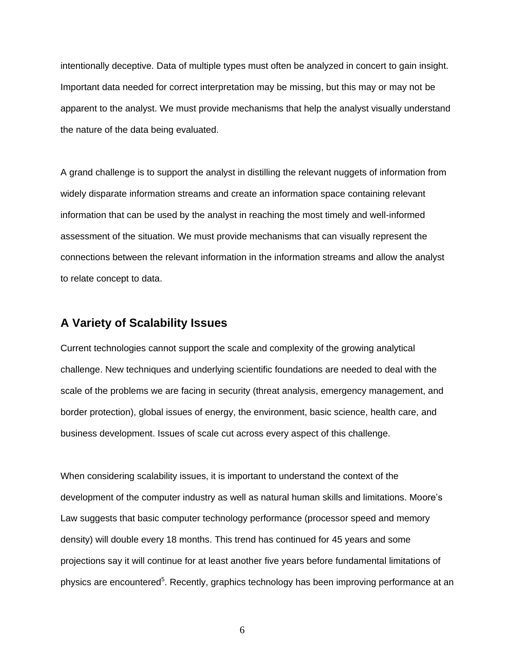intentionally deceptive. Data of multiple types must often be analyzed in concert to gain insight. Important data needed for correct interpretation may be missing, but this may or may not be apparent to the analyst. We must provide mechanisms that help the analyst visually understand the nature of the data being evaluated.

A grand challenge is to support the analyst in distilling the relevant nuggets of information from widely disparate information streams and create an information space containing relevant information that can be used by the analyst in reaching the most timely and well-informed assessment of the situation. We must provide mechanisms that can visually represent the connections between the relevant information in the information streams and allow the analyst to relate concept to data.

# **A Variety of Scalability Issues**

Current technologies cannot support the scale and complexity of the growing analytical challenge. New techniques and underlying scientific foundations are needed to deal with the scale of the problems we are facing in security (threat analysis, emergency management, and border protection), global issues of energy, the environment, basic science, health care, and business development. Issues of scale cut across every aspect of this challenge.

When considering scalability issues, it is important to understand the context of the development of the computer industry as well as natural human skills and limitations. Moore's Law suggests that basic computer technology performance (processor speed and memory density) will double every 18 months. This trend has continued for 45 years and some projections say it will continue for at least another five years before fundamental limitations of physics are encountered<sup>[5](#page-19-2)</sup>. Recently, graphics technology has been improving performance at an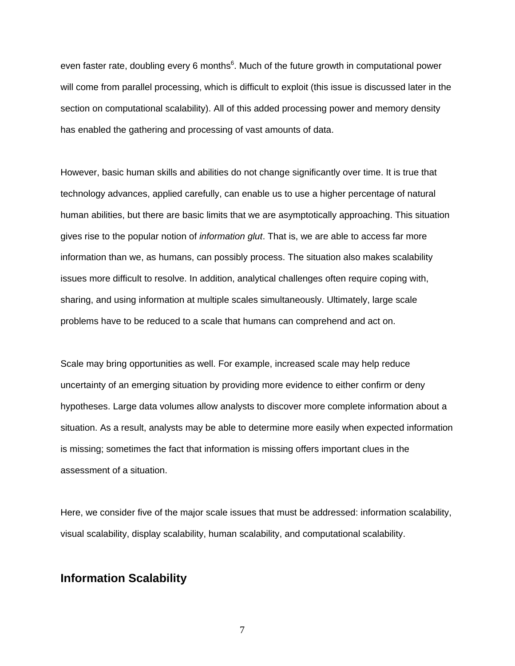even faster rate, doubling every 6 months<sup>6</sup>[.](#page-19-3) Much of the future growth in computational power will come from parallel processing, which is difficult to exploit (this issue is discussed later in the section on computational scalability). All of this added processing power and memory density has enabled the gathering and processing of vast amounts of data.

However, basic human skills and abilities do not change significantly over time. It is true that technology advances, applied carefully, can enable us to use a higher percentage of natural human abilities, but there are basic limits that we are asymptotically approaching. This situation gives rise to the popular notion of *information glut*. That is, we are able to access far more information than we, as humans, can possibly process. The situation also makes scalability issues more difficult to resolve. In addition, analytical challenges often require coping with, sharing, and using information at multiple scales simultaneously. Ultimately, large scale problems have to be reduced to a scale that humans can comprehend and act on.

Scale may bring opportunities as well. For example, increased scale may help reduce uncertainty of an emerging situation by providing more evidence to either confirm or deny hypotheses. Large data volumes allow analysts to discover more complete information about a situation. As a result, analysts may be able to determine more easily when expected information is missing; sometimes the fact that information is missing offers important clues in the assessment of a situation.

Here, we consider five of the major scale issues that must be addressed: information scalability, visual scalability, display scalability, human scalability, and computational scalability.

#### **Information Scalability**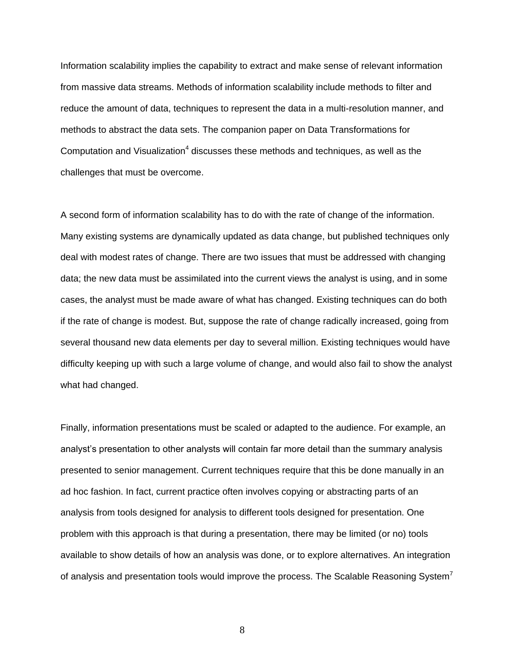Information scalability implies the capability to extract and make sense of relevant information from massive data streams. Methods of information scalability include methods to filter and reduce the amount of data, techniques to represent the data in a multi-resolution manner, and methods to abstract the data sets. The companion paper on Data Transformations for Computatio[n](#page-19-1) and Visualization<sup>4</sup> discusses these methods and techniques, as well as the challenges that must be overcome.

A second form of information scalability has to do with the rate of change of the information. Many existing systems are dynamically updated as data change, but published techniques only deal with modest rates of change. There are two issues that must be addressed with changing data; the new data must be assimilated into the current views the analyst is using, and in some cases, the analyst must be made aware of what has changed. Existing techniques can do both if the rate of change is modest. But, suppose the rate of change radically increased, going from several thousand new data elements per day to several million. Existing techniques would have difficulty keeping up with such a large volume of change, and would also fail to show the analyst what had changed.

Finally, information presentations must be scaled or adapted to the audience. For example, an analyst's presentation to other analysts will contain far more detail than the summary analysis presented to senior management. Current techniques require that this be done manually in an ad hoc fashion. In fact, current practice often involves copying or abstracting parts of an analysis from tools designed for analysis to different tools designed for presentation. One problem with this approach is that during a presentation, there may be limited (or no) tools available to show details of how an analysis was done, or to explore alternatives. An integration of analysis and presentation tools would improve the process. The Scalable Reasoning System<sup>[7](#page-19-4)</sup>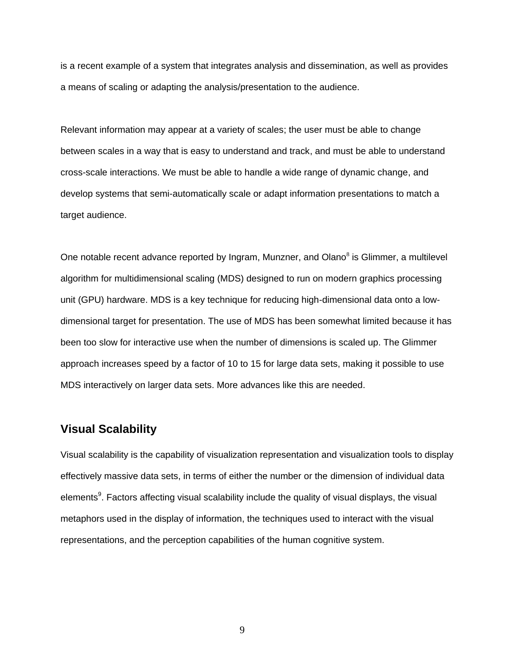is a recent example of a system that integrates analysis and dissemination, as well as provides a means of scaling or adapting the analysis/presentation to the audience.

Relevant information may appear at a variety of scales; the user must be able to change between scales in a way that is easy to understand and track, and must be able to understand cross-scale interactions. We must be able to handle a wide range of dynamic change, and develop systems that semi-automatically scale or adapt information presentations to match a target audience.

One notable recent advance reported by Ingram, Munzner, and Olano<sup>[8](#page-19-5)</sup> is Glimmer, a multilevel algorithm for multidimensional scaling (MDS) designed to run on modern graphics processing unit (GPU) hardware. MDS is a key technique for reducing high-dimensional data onto a lowdimensional target for presentation. The use of MDS has been somewhat limited because it has been too slow for interactive use when the number of dimensions is scaled up. The Glimmer approach increases speed by a factor of 10 to 15 for large data sets, making it possible to use MDS interactively on larger data sets. More advances like this are needed.

#### **Visual Scalability**

Visual scalability is the capability of visualization representation and visualization tools to display effectively massive data sets, in terms of either the number or the dimension of individual data element[s](#page-19-6)<sup>9</sup>. Factors affecting visual scalability include the quality of visual displays, the visual metaphors used in the display of information, the techniques used to interact with the visual representations, and the perception capabilities of the human cognitive system.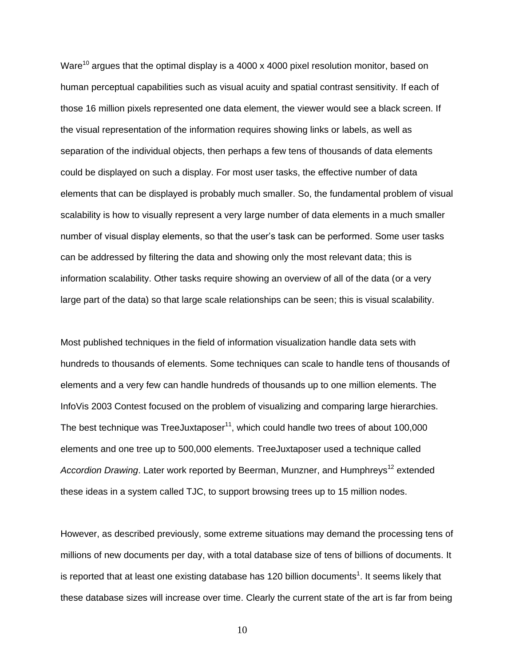Ware<sup>[10](#page-19-7)</sup> argues that the optimal display is a 4000 x 4000 pixel resolution monitor, based on human perceptual capabilities such as visual acuity and spatial contrast sensitivity. If each of those 16 million pixels represented one data element, the viewer would see a black screen. If the visual representation of the information requires showing links or labels, as well as separation of the individual objects, then perhaps a few tens of thousands of data elements could be displayed on such a display. For most user tasks, the effective number of data elements that can be displayed is probably much smaller. So, the fundamental problem of visual scalability is how to visually represent a very large number of data elements in a much smaller number of visual display elements, so that the user's task can be performed. Some user tasks can be addressed by filtering the data and showing only the most relevant data; this is information scalability. Other tasks require showing an overview of all of the data (or a very large part of the data) so that large scale relationships can be seen; this is visual scalability.

Most published techniques in the field of information visualization handle data sets with hundreds to thousands of elements. Some techniques can scale to handle tens of thousands of elements and a very few can handle hundreds of thousands up to one million elements. The InfoVis 2003 Contest focused on the problem of visualizing and comparing large hierarchies. The best technique was TreeJuxtaposer<sup>[11](#page-19-8)</sup>, which could handle two trees of about 100,000 elements and one tree up to 500,000 elements. TreeJuxtaposer used a technique called *Accordion Drawing*. Later work reported by Beerman, Munzner, and Humphreys<sup>[12](#page-19-9)</sup> extended these ideas in a system called TJC, to support browsing trees up to 15 million nodes.

However, as described previously, some extreme situations may demand the processing tens of millions of new documents per day, with a total database size of tens of billions of documents. It is reported that at least one existing database has [1](#page-18-0)20 billion documents<sup>1</sup>. It seems likely that these database sizes will increase over time. Clearly the current state of the art is far from being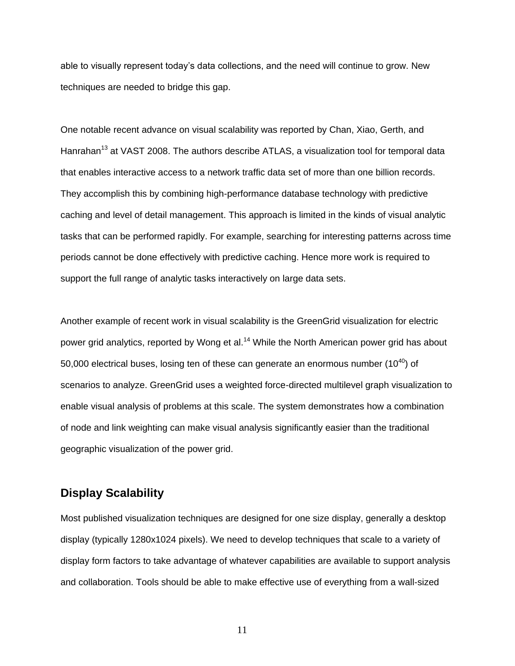able to visually represent today's data collections, and the need will continue to grow. New techniques are needed to bridge this gap.

One notable recent advance on visual scalability was reported by Chan, Xiao, Gerth, and Hanrahan<sup>[13](#page-19-10)</sup> at VAST 2008. The authors describe ATLAS, a visualization tool for temporal data that enables interactive access to a network traffic data set of more than one billion records. They accomplish this by combining high-performance database technology with predictive caching and level of detail management. This approach is limited in the kinds of visual analytic tasks that can be performed rapidly. For example, searching for interesting patterns across time periods cannot be done effectively with predictive caching. Hence more work is required to support the full range of analytic tasks interactively on large data sets.

Another example of recent work in visual scalability is the GreenGrid visualization for electric power grid analytics, reported by Wong et al.<sup>[14](#page-20-0)</sup> While the North American power grid has about 50,000 electrical buses, losing ten of these can generate an enormous number  $(10^{40})$  of scenarios to analyze. GreenGrid uses a weighted force-directed multilevel graph visualization to enable visual analysis of problems at this scale. The system demonstrates how a combination of node and link weighting can make visual analysis significantly easier than the traditional geographic visualization of the power grid.

# **Display Scalability**

Most published visualization techniques are designed for one size display, generally a desktop display (typically 1280x1024 pixels). We need to develop techniques that scale to a variety of display form factors to take advantage of whatever capabilities are available to support analysis and collaboration. Tools should be able to make effective use of everything from a wall-sized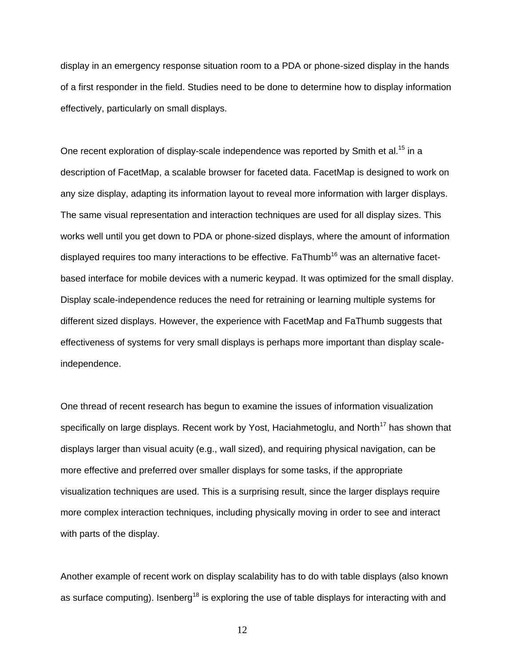display in an emergency response situation room to a PDA or phone-sized display in the hands of a first responder in the field. Studies need to be done to determine how to display information effectively, particularly on small displays.

One recent exploration of display-scale independence was reported by Smith et al.<sup>[15](#page-20-1)</sup> in a description of FacetMap, a scalable browser for faceted data. FacetMap is designed to work on any size display, adapting its information layout to reveal more information with larger displays. The same visual representation and interaction techniques are used for all display sizes. This works well until you get down to PDA or phone-sized displays, where the amount of information displayed requires too many interactions to be effective. FaThumb<sup>[16](#page-20-2)</sup> was an alternative facetbased interface for mobile devices with a numeric keypad. It was optimized for the small display. Display scale-independence reduces the need for retraining or learning multiple systems for different sized displays. However, the experience with FacetMap and FaThumb suggests that effectiveness of systems for very small displays is perhaps more important than display scaleindependence.

One thread of recent research has begun to examine the issues of information visualization specifically on large displays. Recent work by Yost, Haciahmetoglu, and North<sup>[17](#page-20-3)</sup> has shown that displays larger than visual acuity (e.g., wall sized), and requiring physical navigation, can be more effective and preferred over smaller displays for some tasks, if the appropriate visualization techniques are used. This is a surprising result, since the larger displays require more complex interaction techniques, including physically moving in order to see and interact with parts of the display.

Another example of recent work on display scalability has to do with table displays (also known as surface computing). Isenberg<sup>[18](#page-20-4)</sup> is exploring the use of table displays for interacting with and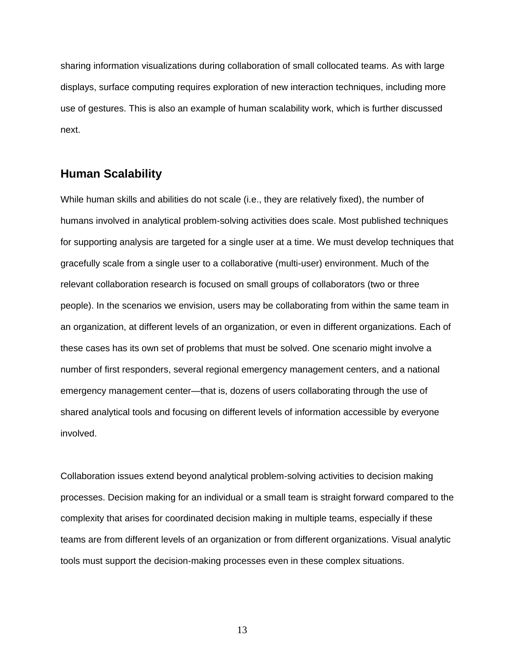sharing information visualizations during collaboration of small collocated teams. As with large displays, surface computing requires exploration of new interaction techniques, including more use of gestures. This is also an example of human scalability work, which is further discussed next.

#### **Human Scalability**

While human skills and abilities do not scale (i.e., they are relatively fixed), the number of humans involved in analytical problem-solving activities does scale. Most published techniques for supporting analysis are targeted for a single user at a time. We must develop techniques that gracefully scale from a single user to a collaborative (multi-user) environment. Much of the relevant collaboration research is focused on small groups of collaborators (two or three people). In the scenarios we envision, users may be collaborating from within the same team in an organization, at different levels of an organization, or even in different organizations. Each of these cases has its own set of problems that must be solved. One scenario might involve a number of first responders, several regional emergency management centers, and a national emergency management center—that is, dozens of users collaborating through the use of shared analytical tools and focusing on different levels of information accessible by everyone involved.

Collaboration issues extend beyond analytical problem-solving activities to decision making processes. Decision making for an individual or a small team is straight forward compared to the complexity that arises for coordinated decision making in multiple teams, especially if these teams are from different levels of an organization or from different organizations. Visual analytic tools must support the decision-making processes even in these complex situations.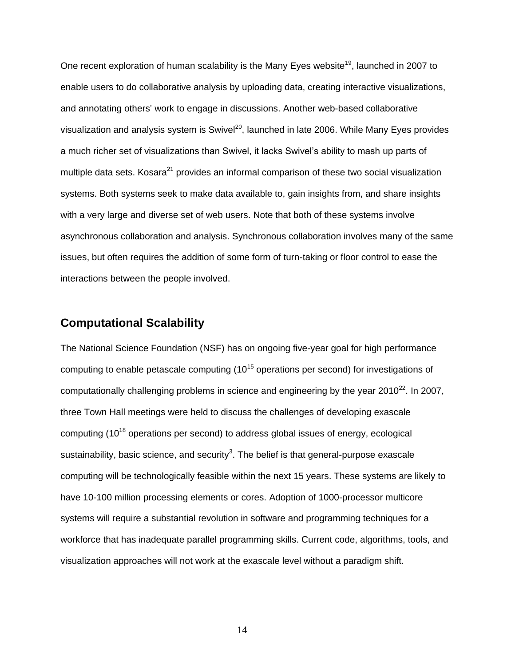One recent exploration of human scalability is the Many Eyes website<sup>[19](#page-20-5)</sup>, launched in 2007 to enable users to do collaborative analysis by uploading data, creating interactive visualizations, and annotating others' work to engage in discussions. Another web-based collaborative visualization and analysis system is Swivel<sup>[20](#page-20-6)</sup>, launched in late 2006. While Many Eyes provides a much richer set of visualizations than Swivel, it lacks Swivel's ability to mash up parts of multiple data sets. Kosara<sup>[21](#page-20-7)</sup> provides an informal comparison of these two social visualization systems. Both systems seek to make data available to, gain insights from, and share insights with a very large and diverse set of web users. Note that both of these systems involve asynchronous collaboration and analysis. Synchronous collaboration involves many of the same issues, but often requires the addition of some form of turn-taking or floor control to ease the interactions between the people involved.

# **Computational Scalability**

The National Science Foundation (NSF) has on ongoing five-year goal for high performance computing to enable petascale computing  $(10^{15}$  operations per second) for investigations of computationally challenging problems in science and engineering by the year 2010<sup>[22](#page-20-8)</sup>. In 2007, three Town Hall meetings were held to discuss the challenges of developing exascale computing  $(10^{18}$  operations per second) to address global issues of energy, ecological sustainability, basic science, and security<sup>3</sup>[.](#page-19-0) The belief is that general-purpose exascale computing will be technologically feasible within the next 15 years. These systems are likely to have 10-100 million processing elements or cores. Adoption of 1000-processor multicore systems will require a substantial revolution in software and programming techniques for a workforce that has inadequate parallel programming skills. Current code, algorithms, tools, and visualization approaches will not work at the exascale level without a paradigm shift.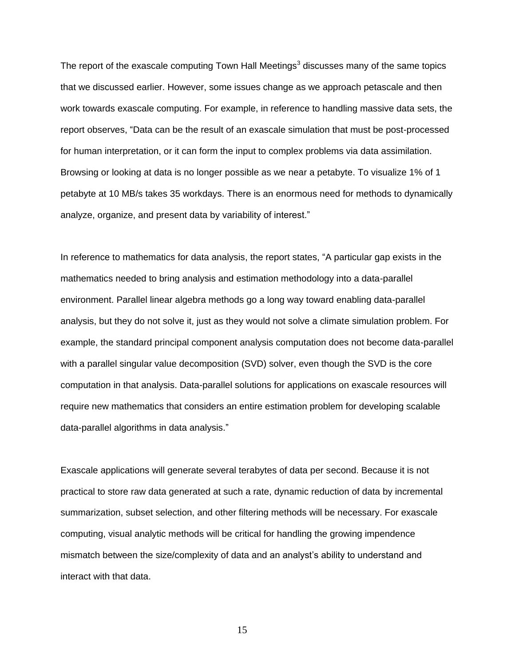The report of the exascale computing Town Hall Meetings<sup>[3](#page-19-0)</sup> discusses many of the same topics that we discussed earlier. However, some issues change as we approach petascale and then work towards exascale computing. For example, in reference to handling massive data sets, the report observes, "Data can be the result of an exascale simulation that must be post-processed for human interpretation, or it can form the input to complex problems via data assimilation. Browsing or looking at data is no longer possible as we near a petabyte. To visualize 1% of 1 petabyte at 10 MB/s takes 35 workdays. There is an enormous need for methods to dynamically analyze, organize, and present data by variability of interest."

In reference to mathematics for data analysis, the report states, "A particular gap exists in the mathematics needed to bring analysis and estimation methodology into a data-parallel environment. Parallel linear algebra methods go a long way toward enabling data-parallel analysis, but they do not solve it, just as they would not solve a climate simulation problem. For example, the standard principal component analysis computation does not become data-parallel with a parallel singular value decomposition (SVD) solver, even though the SVD is the core computation in that analysis. Data-parallel solutions for applications on exascale resources will require new mathematics that considers an entire estimation problem for developing scalable data-parallel algorithms in data analysis."

Exascale applications will generate several terabytes of data per second. Because it is not practical to store raw data generated at such a rate, dynamic reduction of data by incremental summarization, subset selection, and other filtering methods will be necessary. For exascale computing, visual analytic methods will be critical for handling the growing impendence mismatch between the size/complexity of data and an analyst's ability to understand and interact with that data.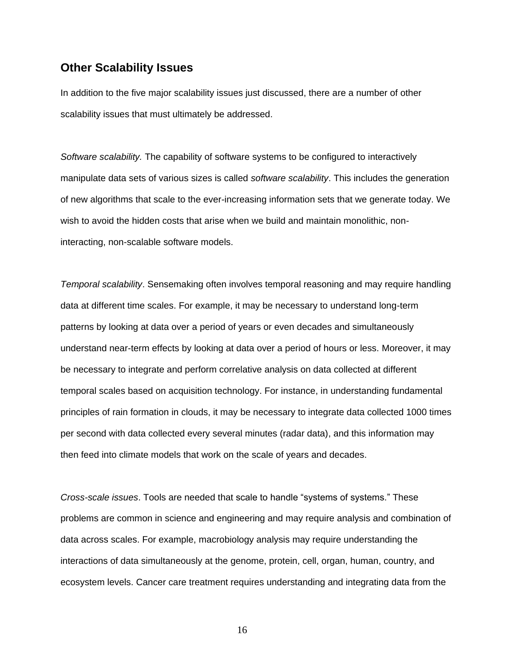#### **Other Scalability Issues**

In addition to the five major scalability issues just discussed, there are a number of other scalability issues that must ultimately be addressed.

*Software scalability.* The capability of software systems to be configured to interactively manipulate data sets of various sizes is called *software scalability*. This includes the generation of new algorithms that scale to the ever-increasing information sets that we generate today. We wish to avoid the hidden costs that arise when we build and maintain monolithic, noninteracting, non-scalable software models.

*Temporal scalability*. Sensemaking often involves temporal reasoning and may require handling data at different time scales. For example, it may be necessary to understand long-term patterns by looking at data over a period of years or even decades and simultaneously understand near-term effects by looking at data over a period of hours or less. Moreover, it may be necessary to integrate and perform correlative analysis on data collected at different temporal scales based on acquisition technology. For instance, in understanding fundamental principles of rain formation in clouds, it may be necessary to integrate data collected 1000 times per second with data collected every several minutes (radar data), and this information may then feed into climate models that work on the scale of years and decades.

*Cross-scale issues*. Tools are needed that scale to handle "systems of systems." These problems are common in science and engineering and may require analysis and combination of data across scales. For example, macrobiology analysis may require understanding the interactions of data simultaneously at the genome, protein, cell, organ, human, country, and ecosystem levels. Cancer care treatment requires understanding and integrating data from the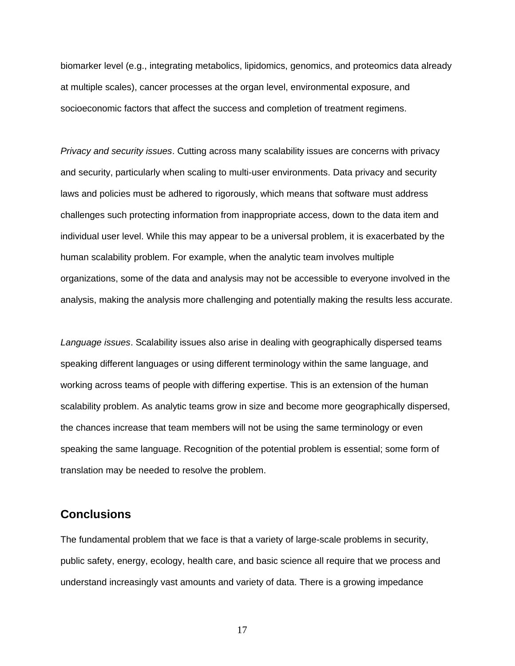biomarker level (e.g., integrating metabolics, lipidomics, genomics, and proteomics data already at multiple scales), cancer processes at the organ level, environmental exposure, and socioeconomic factors that affect the success and completion of treatment regimens.

*Privacy and security issues*. Cutting across many scalability issues are concerns with privacy and security, particularly when scaling to multi-user environments. Data privacy and security laws and policies must be adhered to rigorously, which means that software must address challenges such protecting information from inappropriate access, down to the data item and individual user level. While this may appear to be a universal problem, it is exacerbated by the human scalability problem. For example, when the analytic team involves multiple organizations, some of the data and analysis may not be accessible to everyone involved in the analysis, making the analysis more challenging and potentially making the results less accurate.

*Language issues*. Scalability issues also arise in dealing with geographically dispersed teams speaking different languages or using different terminology within the same language, and working across teams of people with differing expertise. This is an extension of the human scalability problem. As analytic teams grow in size and become more geographically dispersed, the chances increase that team members will not be using the same terminology or even speaking the same language. Recognition of the potential problem is essential; some form of translation may be needed to resolve the problem.

#### **Conclusions**

The fundamental problem that we face is that a variety of large-scale problems in security, public safety, energy, ecology, health care, and basic science all require that we process and understand increasingly vast amounts and variety of data. There is a growing impedance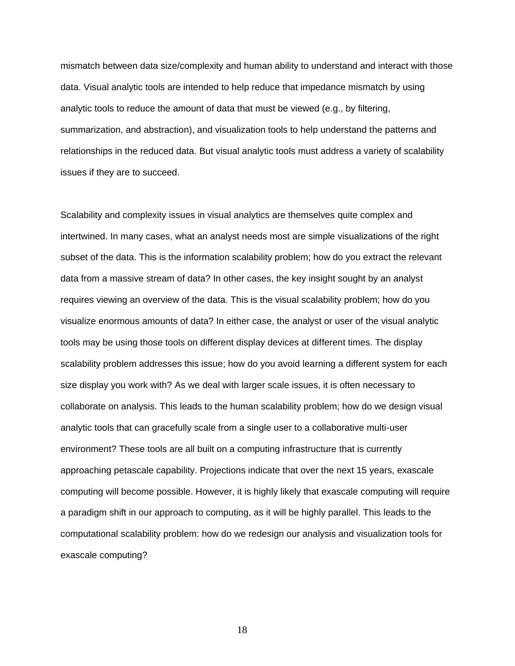mismatch between data size/complexity and human ability to understand and interact with those data. Visual analytic tools are intended to help reduce that impedance mismatch by using analytic tools to reduce the amount of data that must be viewed (e.g., by filtering, summarization, and abstraction), and visualization tools to help understand the patterns and relationships in the reduced data. But visual analytic tools must address a variety of scalability issues if they are to succeed.

Scalability and complexity issues in visual analytics are themselves quite complex and intertwined. In many cases, what an analyst needs most are simple visualizations of the right subset of the data. This is the information scalability problem; how do you extract the relevant data from a massive stream of data? In other cases, the key insight sought by an analyst requires viewing an overview of the data. This is the visual scalability problem; how do you visualize enormous amounts of data? In either case, the analyst or user of the visual analytic tools may be using those tools on different display devices at different times. The display scalability problem addresses this issue; how do you avoid learning a different system for each size display you work with? As we deal with larger scale issues, it is often necessary to collaborate on analysis. This leads to the human scalability problem; how do we design visual analytic tools that can gracefully scale from a single user to a collaborative multi-user environment? These tools are all built on a computing infrastructure that is currently approaching petascale capability. Projections indicate that over the next 15 years, exascale computing will become possible. However, it is highly likely that exascale computing will require a paradigm shift in our approach to computing, as it will be highly parallel. This leads to the computational scalability problem: how do we redesign our analysis and visualization tools for exascale computing?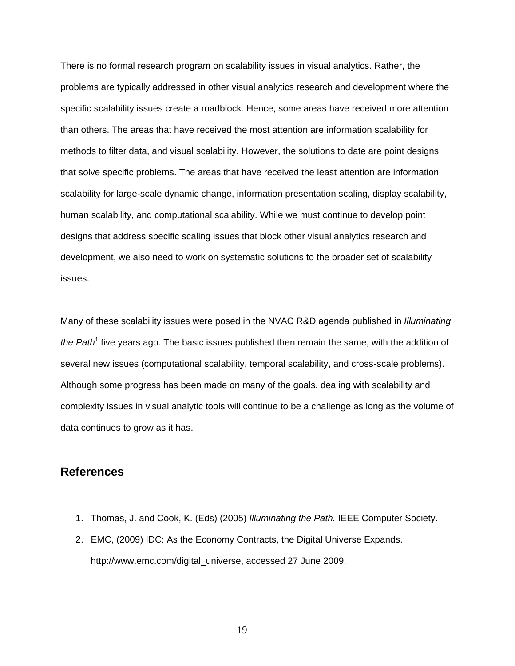There is no formal research program on scalability issues in visual analytics. Rather, the problems are typically addressed in other visual analytics research and development where the specific scalability issues create a roadblock. Hence, some areas have received more attention than others. The areas that have received the most attention are information scalability for methods to filter data, and visual scalability. However, the solutions to date are point designs that solve specific problems. The areas that have received the least attention are information scalability for large-scale dynamic change, information presentation scaling, display scalability, human scalability, and computational scalability. While we must continue to develop point designs that address specific scaling issues that block other visual analytics research and development, we also need to work on systematic solutions to the broader set of scalability issues.

Many of these scalability issues were posed in the NVAC R&D agenda published in *Illuminating*  the Path<sup>[1](#page-18-0)</sup> five years ago. The basic issues published then remain the same, with the addition of several new issues (computational scalability, temporal scalability, and cross-scale problems). Although some progress has been made on many of the goals, dealing with scalability and complexity issues in visual analytic tools will continue to be a challenge as long as the volume of data continues to grow as it has.

#### **References**

- <span id="page-18-0"></span>1. Thomas, J. and Cook, K. (Eds) (2005) *Illuminating the Path.* IEEE Computer Society.
- 2. EMC, (2009) IDC: As the Economy Contracts, the Digital Universe Expands. http://www.emc.com/digital\_universe, accessed 27 June 2009.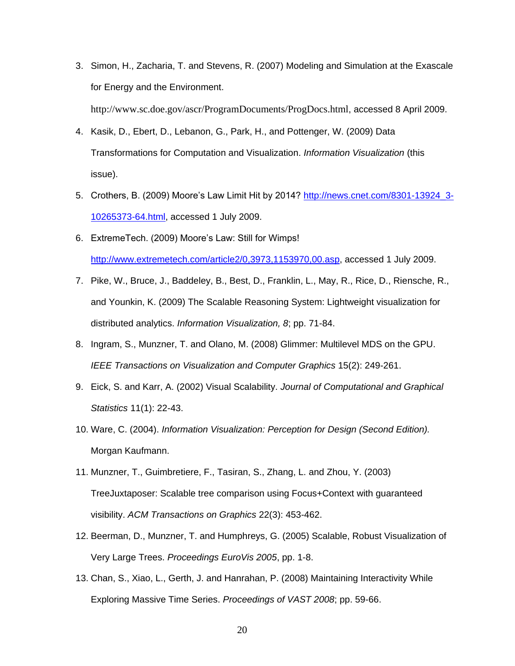<span id="page-19-0"></span>3. Simon, H., Zacharia, T. and Stevens, R. (2007) Modeling and Simulation at the Exascale for Energy and the Environment.

http://www.sc.doe.gov/ascr/ProgramDocuments/ProgDocs.html, accessed 8 April 2009.

- <span id="page-19-1"></span>4. Kasik, D., Ebert, D., Lebanon, G., Park, H., and Pottenger, W. (2009) Data Transformations for Computation and Visualization. *Information Visualization* (this issue).
- <span id="page-19-2"></span>5. Crothers, B. (2009) Moore's Law Limit Hit by 2014? [http://news.cnet.com/8301-13924\\_3-](http://news.cnet.com/8301-13924_3-10265373-64.html) [10265373-64.html,](http://news.cnet.com/8301-13924_3-10265373-64.html) accessed 1 July 2009.
- <span id="page-19-3"></span>6. ExtremeTech. (2009) Moore's Law: Still for Wimps! [http://www.extremetech.com/article2/0,3973,1153970,00.asp,](http://www.extremetech.com/article2/0,3973,1153970,00.asp) accessed 1 July 2009.
- <span id="page-19-4"></span>7. Pike, W., Bruce, J., Baddeley, B., Best, D., Franklin, L., May, R., Rice, D., Riensche, R., and Younkin, K. (2009) The Scalable Reasoning System: Lightweight visualization for distributed analytics. *Information Visualization, 8*; pp. 71-84.
- <span id="page-19-5"></span>8. Ingram, S., Munzner, T. and Olano, M. (2008) Glimmer: Multilevel MDS on the GPU. *IEEE Transactions on Visualization and Computer Graphics* 15(2): 249-261.
- <span id="page-19-6"></span>9. Eick, S. and Karr, A. (2002) Visual Scalability. *Journal of Computational and Graphical Statistics* 11(1): 22-43.
- <span id="page-19-7"></span>10. Ware, C. (2004). *Information Visualization: Perception for Design (Second Edition).* Morgan Kaufmann.
- <span id="page-19-8"></span>11. Munzner, T., Guimbretiere, F., Tasiran, S., Zhang, L. and Zhou, Y. (2003) TreeJuxtaposer: Scalable tree comparison using Focus+Context with guaranteed visibility. *ACM Transactions on Graphics* 22(3): 453-462.
- <span id="page-19-9"></span>12. Beerman, D., Munzner, T. and Humphreys, G. (2005) Scalable, Robust Visualization of Very Large Trees. *Proceedings EuroVis 2005*, pp. 1-8.
- <span id="page-19-10"></span>13. Chan, S., Xiao, L., Gerth, J. and Hanrahan, P. (2008) Maintaining Interactivity While Exploring Massive Time Series. *Proceedings of VAST 2008*; pp. 59-66.